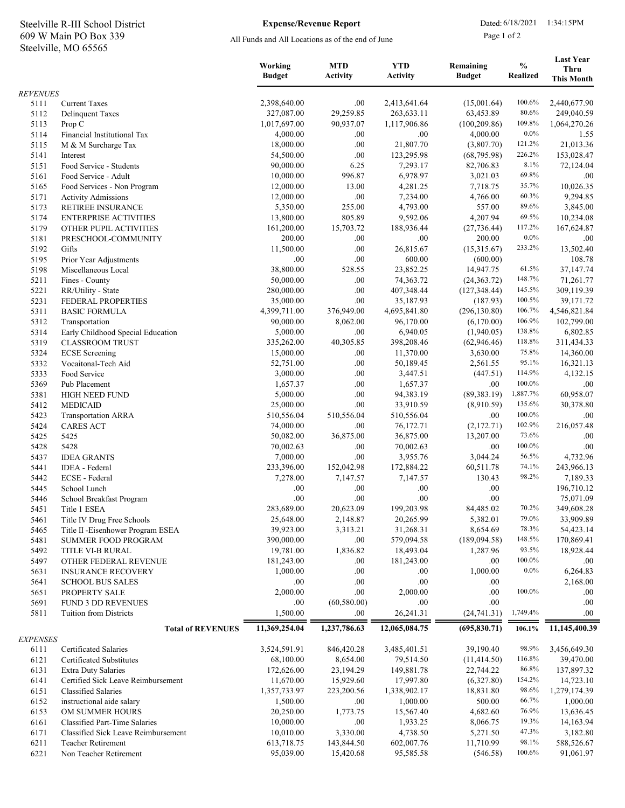## Steelville, MO 65565 609 W Main PO Box 339 Steelville R-III School District Expense/Revenue Report Dated: 6/18/2021 1:34:15PM

## Expense/Revenue Report

All Funds and All Locations as of the end of June

Page 1 of 2

|                 |                                                                      | Working<br><b>Budget</b> | <b>MTD</b><br><b>Activity</b> | <b>YTD</b><br><b>Activity</b> | Remaining<br><b>Budget</b> | $\frac{0}{0}$<br><b>Realized</b> | <b>Last Year</b><br><b>Thru</b><br><b>This Month</b> |
|-----------------|----------------------------------------------------------------------|--------------------------|-------------------------------|-------------------------------|----------------------------|----------------------------------|------------------------------------------------------|
| <b>REVENUES</b> |                                                                      |                          |                               |                               |                            |                                  |                                                      |
| 5111            | <b>Current Taxes</b>                                                 | 2,398,640.00             | .00.                          | 2,413,641.64                  | (15,001.64)                | 100.6%                           | 2,440,677.90                                         |
| 5112            | <b>Delinquent Taxes</b>                                              | 327,087.00               | 29,259.85                     | 263,633.11                    | 63,453.89                  | 80.6%                            | 249,040.59                                           |
| 5113            | Prop C                                                               | 1,017,697.00             | 90,937.07                     | 1,117,906.86                  | (100, 209.86)              | 109.8%                           | 1,064,270.26                                         |
| 5114            | Financial Institutional Tax                                          | 4,000.00<br>18,000.00    | .00.<br>.00.                  | .00<br>21,807.70              | 4,000.00<br>(3,807.70)     | $0.0\%$<br>121.2%                | 1.55<br>21,013.36                                    |
| 5115<br>5141    | M & M Surcharge Tax<br>Interest                                      | 54,500.00                | .00.                          | 123,295.98                    | (68, 795.98)               | 226.2%                           | 153,028.47                                           |
| 5151            | Food Service - Students                                              | 90,000.00                | 6.25                          | 7,293.17                      | 82,706.83                  | 8.1%                             | 72,124.04                                            |
| 5161            | Food Service - Adult                                                 | 10,000.00                | 996.87                        | 6,978.97                      | 3,021.03                   | 69.8%                            | .00.                                                 |
| 5165            | Food Services - Non Program                                          | 12,000.00                | 13.00                         | 4,281.25                      | 7,718.75                   | 35.7%                            | 10,026.35                                            |
| 5171            | <b>Activity Admissions</b>                                           | 12,000.00                | .00                           | 7,234.00                      | 4,766.00                   | 60.3%                            | 9,294.85                                             |
| 5173            | <b>RETIREE INSURANCE</b>                                             | 5,350.00                 | 255.00                        | 4,793.00                      | 557.00                     | 89.6%                            | 3,845.00                                             |
| 5174            | <b>ENTERPRISE ACTIVITIES</b>                                         | 13,800.00                | 805.89                        | 9,592.06                      | 4,207.94                   | 69.5%                            | 10,234.08                                            |
| 5179            | OTHER PUPIL ACTIVITIES                                               | 161,200.00               | 15,703.72                     | 188,936.44                    | (27, 736.44)               | 117.2%                           | 167,624.87                                           |
| 5181            | PRESCHOOL-COMMUNITY                                                  | 200.00                   | .00.                          | .00                           | 200.00                     | $0.0\%$                          | .00.                                                 |
| 5192<br>5195    | Gifts<br>Prior Year Adjustments                                      | 11,500.00<br>.00.        | .00.<br>.00.                  | 26,815.67<br>600.00           | (15,315.67)<br>(600.00)    | 233.2%                           | 13,502.40<br>108.78                                  |
| 5198            | Miscellaneous Local                                                  | 38,800.00                | 528.55                        | 23,852.25                     | 14,947.75                  | 61.5%                            | 37,147.74                                            |
| 5211            | Fines - County                                                       | 50,000.00                | .00.                          | 74,363.72                     | (24, 363.72)               | 148.7%                           | 71,261.77                                            |
| 5221            | RR/Utility - State                                                   | 280,000.00               | .00.                          | 407,348.44                    | (127, 348.44)              | 145.5%                           | 309,119.39                                           |
| 5231            | FEDERAL PROPERTIES                                                   | 35,000.00                | .00                           | 35,187.93                     | (187.93)                   | 100.5%                           | 39,171.72                                            |
| 5311            | <b>BASIC FORMULA</b>                                                 | 4,399,711.00             | 376,949.00                    | 4,695,841.80                  | (296, 130.80)              | 106.7%                           | 4,546,821.84                                         |
| 5312            | Transportation                                                       | 90,000.00                | 8,062.00                      | 96,170.00                     | (6,170.00)                 | 106.9%                           | 102,799.00                                           |
| 5314            | Early Childhood Special Education                                    | 5,000.00                 | .00                           | 6,940.05                      | (1,940.05)                 | 138.8%                           | 6,802.85                                             |
| 5319            | <b>CLASSROOM TRUST</b>                                               | 335,262.00               | 40,305.85                     | 398,208.46                    | (62, 946.46)               | 118.8%                           | 311,434.33                                           |
| 5324            | <b>ECSE</b> Screening                                                | 15,000.00                | .00                           | 11,370.00                     | 3,630.00                   | 75.8%                            | 14,360.00                                            |
| 5332            | Vocaitonal-Tech Aid                                                  | 52,751.00                | .00.                          | 50,189.45                     | 2,561.55                   | 95.1%                            | 16,321.13                                            |
| 5333            | Food Service                                                         | 3,000.00                 | .00                           | 3,447.51                      | (447.51)                   | 114.9%<br>100.0%                 | 4,132.15                                             |
| 5369<br>5381    | Pub Placement<br><b>HIGH NEED FUND</b>                               | 1,657.37<br>5,000.00     | .00.<br>.00.                  | 1,657.37<br>94,383.19         | .00<br>(89, 383.19)        | 1,887.7%                         | .00.<br>60,958.07                                    |
| 5412            | <b>MEDICAID</b>                                                      | 25,000.00                | .00                           | 33,910.59                     | (8,910.59)                 | 135.6%                           | 30,378.80                                            |
| 5423            | <b>Transportation ARRA</b>                                           | 510,556.04               | 510,556.04                    | 510,556.04                    | .00                        | 100.0%                           | .00                                                  |
| 5424            | <b>CARES ACT</b>                                                     | 74,000.00                | .00                           | 76,172.71                     | (2,172.71)                 | 102.9%                           | 216,057.48                                           |
| 5425            | 5425                                                                 | 50,082.00                | 36,875.00                     | 36,875.00                     | 13,207.00                  | 73.6%                            | .00                                                  |
| 5428            | 5428                                                                 | 70,002.63                | .00.                          | 70,002.63                     | .00.                       | 100.0%                           | .00                                                  |
| 5437            | <b>IDEA GRANTS</b>                                                   | 7,000.00                 | .00                           | 3,955.76                      | 3,044.24                   | 56.5%                            | 4,732.96                                             |
| 5441            | IDEA - Federal                                                       | 233,396.00               | 152,042.98                    | 172,884.22                    | 60,511.78                  | 74.1%                            | 243,966.13                                           |
| 5442            | ECSE - Federal                                                       | 7,278.00                 | 7,147.57                      | 7,147.57                      | 130.43                     | 98.2%                            | 7,189.33                                             |
| 5445            | School Lunch                                                         | .00                      | .00.                          | .00                           | .00                        |                                  | 196,710.12                                           |
| 5446            | School Breakfast Program                                             | .00                      | .00                           | .00                           | .00                        | 70.2%                            | 75,071.09                                            |
| 5451<br>5461    | Title 1 ESEA<br>Title IV Drug Free Schools                           | 283,689.00<br>25,648.00  | 20,623.09<br>2,148.87         | 199,203.98<br>20,265.99       | 84,485.02<br>5,382.01      | 79.0%                            | 349,608.28<br>33,909.89                              |
| 5465            | Title II - Eisenhower Program ESEA                                   | 39,923.00                | 3,313.21                      | 31,268.31                     | 8,654.69                   | 78.3%                            | 54,423.14                                            |
| 5481            | <b>SUMMER FOOD PROGRAM</b>                                           | 390,000.00               | .00.                          | 579,094.58                    | (189,094.58)               | 148.5%                           | 170,869.41                                           |
| 5492            | TITLE VI-B RURAL                                                     | 19,781.00                | 1,836.82                      | 18,493.04                     | 1,287.96                   | 93.5%                            | 18,928.44                                            |
| 5497            | OTHER FEDERAL REVENUE                                                | 181,243.00               | .00.                          | 181,243.00                    | .00.                       | 100.0%                           | .00.                                                 |
| 5631            | <b>INSURANCE RECOVERY</b>                                            | 1,000.00                 | .00.                          | .00.                          | 1,000.00                   | $0.0\%$                          | 6,264.83                                             |
| 5641            | <b>SCHOOL BUS SALES</b>                                              | .00                      | .00.                          | .00                           | .00.                       |                                  | 2,168.00                                             |
| 5651            | PROPERTY SALE                                                        | 2,000.00                 | .00.                          | 2,000.00                      | .00                        | 100.0%                           | .00.                                                 |
| 5691            | FUND 3 DD REVENUES                                                   | .00.                     | (60, 580.00)                  | .00.                          | .00                        |                                  | .00.                                                 |
| 5811            | <b>Tuition from Districts</b>                                        | 1,500.00                 | .00.                          | 26,241.31                     | (24, 741.31)               | 1,749.4%                         | .00.                                                 |
| <b>EXPENSES</b> | <b>Total of REVENUES</b>                                             | 11,369,254.04            | 1,237,786.63                  | 12,065,084.75                 | (695, 830.71)              | 106.1%                           | 11,145,400.39                                        |
| 6111            | Certificated Salaries                                                | 3,524,591.91             | 846,420.28                    | 3,485,401.51                  | 39,190.40                  | 98.9%                            | 3,456,649.30                                         |
| 6121            | Certificated Substitutes                                             | 68,100.00                | 8,654.00                      | 79,514.50                     | (11, 414.50)               | 116.8%                           | 39,470.00                                            |
| 6131            | <b>Extra Duty Salaries</b>                                           | 172,626.00               | 23,194.29                     | 149,881.78                    | 22,744.22                  | 86.8%                            | 137,897.32                                           |
| 6141            | Certified Sick Leave Reimbursement                                   | 11,670.00                | 15,929.60                     | 17,997.80                     | (6,327.80)                 | 154.2%                           | 14,723.10                                            |
| 6151            | Classified Salaries                                                  | 1,357,733.97             | 223,200.56                    | 1,338,902.17                  | 18,831.80                  | 98.6%                            | 1,279,174.39                                         |
| 6152            | instructional aide salary                                            | 1,500.00                 | .00.                          | 1,000.00                      | 500.00                     | 66.7%                            | 1,000.00                                             |
| 6153            | OM SUMMER HOURS                                                      | 20,250.00                | 1,773.75                      | 15,567.40                     | 4,682.60                   | 76.9%                            | 13,636.45                                            |
| 6161            | Classified Part-Time Salaries<br>Classified Sick Leave Reimbursement | 10,000.00<br>10,010.00   | .00.<br>3,330.00              | 1,933.25<br>4,738.50          | 8,066.75<br>5,271.50       | 19.3%<br>47.3%                   | 14,163.94<br>3,182.80                                |
| 6171<br>6211    | <b>Teacher Retirement</b>                                            | 613,718.75               | 143,844.50                    | 602,007.76                    | 11,710.99                  | 98.1%                            | 588,526.67                                           |
| 6221            | Non Teacher Retirement                                               | 95,039.00                | 15,420.68                     | 95,585.58                     | (546.58)                   | 100.6%                           | 91,061.97                                            |